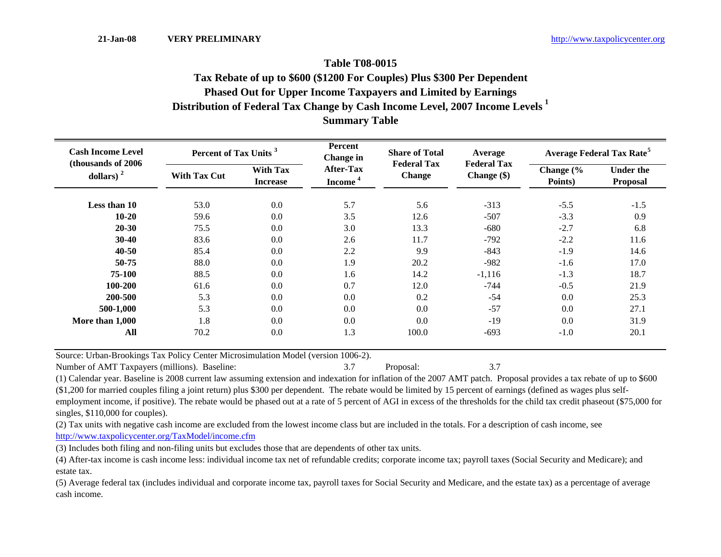## **Table T08-0015Distribution of Federal Tax Change by Cash Income Level, 2007 Income Levels <sup>1</sup> Summary Table Phased Out for Upper Income Taxpayers and Limited by Earnings Tax Rebate of up to \$600 (\$1200 For Couples) Plus \$300 Per Dependent**

| <b>Cash Income Level</b><br>(thousands of 2006)<br>dollars) $2$ | Percent of Tax Units <sup>3</sup> |                                    | Percent<br><b>Change</b> in             | <b>Share of Total</b>               | Average                           | <b>Average Federal Tax Rate<sup>5</sup></b> |                                     |  |
|-----------------------------------------------------------------|-----------------------------------|------------------------------------|-----------------------------------------|-------------------------------------|-----------------------------------|---------------------------------------------|-------------------------------------|--|
|                                                                 | <b>With Tax Cut</b>               | <b>With Tax</b><br><b>Increase</b> | <b>After-Tax</b><br>Income <sup>4</sup> | <b>Federal Tax</b><br><b>Change</b> | <b>Federal Tax</b><br>Change (\$) | Change (%<br>Points)                        | <b>Under the</b><br><b>Proposal</b> |  |
| Less than 10                                                    | 53.0                              | 0.0                                | 5.7                                     | 5.6                                 | $-313$                            | $-5.5$                                      | $-1.5$                              |  |
| $10 - 20$                                                       | 59.6                              | 0.0                                | 3.5                                     | 12.6                                | $-507$                            | $-3.3$                                      | 0.9                                 |  |
| $20 - 30$                                                       | 75.5                              | 0.0                                | 3.0                                     | 13.3                                | $-680$                            | $-2.7$                                      | 6.8                                 |  |
| $30 - 40$                                                       | 83.6                              | 0.0                                | 2.6                                     | 11.7                                | $-792$                            | $-2.2$                                      | 11.6                                |  |
| $40 - 50$                                                       | 85.4                              | 0.0                                | 2.2                                     | 9.9                                 | $-843$                            | $-1.9$                                      | 14.6                                |  |
| 50-75                                                           | 88.0                              | $0.0\,$                            | 1.9                                     | 20.2                                | $-982$                            | $-1.6$                                      | 17.0                                |  |
| 75-100                                                          | 88.5                              | 0.0                                | 1.6                                     | 14.2                                | $-1,116$                          | $-1.3$                                      | 18.7                                |  |
| 100-200                                                         | 61.6                              | 0.0                                | 0.7                                     | 12.0                                | $-744$                            | $-0.5$                                      | 21.9                                |  |
| 200-500                                                         | 5.3                               | 0.0                                | 0.0                                     | 0.2                                 | $-54$                             | 0.0                                         | 25.3                                |  |
| 500-1,000                                                       | 5.3                               | 0.0                                | 0.0                                     | 0.0                                 | $-57$                             | 0.0                                         | 27.1                                |  |
| More than 1,000                                                 | 1.8                               | 0.0                                | 0.0                                     | 0.0                                 | $-19$                             | 0.0                                         | 31.9                                |  |
| All                                                             | 70.2                              | 0.0                                | 1.3                                     | 100.0                               | $-693$                            | $-1.0$                                      | 20.1                                |  |

Source: Urban-Brookings Tax Policy Center Microsimulation Model (version 1006-2).

Number of AMT Taxpayers (millions). Baseline: 3.7 Proposal: 3.7 Proposal: 3.7 Proposal: 3.7

(1) Calendar year. Baseline is 2008 current law assuming extension and indexation for inflation of the 2007 AMT patch. Proposal provides a tax rebate of up to \$600 (\$1,200 for married couples filing a joint return) plus \$300 per dependent. The rebate would be limited by 15 percent of earnings (defined as wages plus selfemployment income, if positive). The rebate would be phased out at a rate of 5 percent of AGI in excess of the thresholds for the child tax credit phaseout (\$75,000 for singles, \$110,000 for couples).

(2) Tax units with negative cash income are excluded from the lowest income class but are included in the totals. For a description of cash income, see http://www.taxpolicycenter.org/TaxModel/income.cfm

(3) Includes both filing and non-filing units but excludes those that are dependents of other tax units.

(4) After-tax income is cash income less: individual income tax net of refundable credits; corporate income tax; payroll taxes (Social Security and Medicare); and estate tax.

(5) Average federal tax (includes individual and corporate income tax, payroll taxes for Social Security and Medicare, and the estate tax) as a percentage of average cash income.